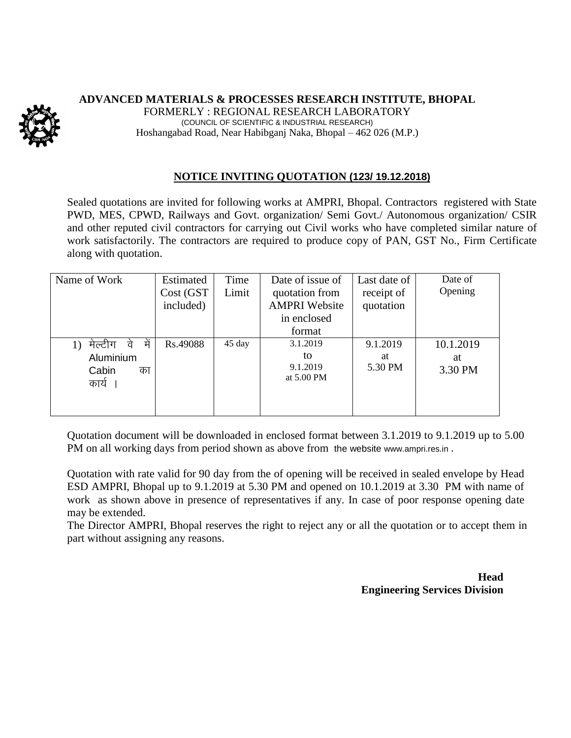## **ADVANCED MATERIALS & PROCESSES RESEARCH INSTITUTE, BHOPAL**



FORMERLY : REGIONAL RESEARCH LABORATORY (COUNCIL OF SCIENTIFIC & INDUSTRIAL RESEARCH) Hoshangabad Road, Near Habibganj Naka, Bhopal – 462 026 (M.P.)

## **NOTICE INVITING QUOTATION (123/ 19.12.2018)**

Sealed quotations are invited for following works at AMPRI, Bhopal. Contractors registered with State PWD, MES, CPWD, Railways and Govt. organization/ Semi Govt./ Autonomous organization/ CSIR and other reputed civil contractors for carrying out Civil works who have completed similar nature of work satisfactorily. The contractors are required to produce copy of PAN, GST No., Firm Certificate along with quotation.

| Name of Work              | Estimated | Time   | Date of issue of     | Last date of | Date of   |
|---------------------------|-----------|--------|----------------------|--------------|-----------|
|                           | Cost (GST | Limit  | quotation from       | receipt of   | Opening   |
|                           | included) |        | <b>AMPRI Website</b> | quotation    |           |
|                           |           |        | in enclosed          |              |           |
|                           |           |        | format               |              |           |
| में<br>मेल्टीग<br>1)<br>व | Rs.49088  | 45 day | 3.1.2019             | 9.1.2019     | 10.1.2019 |
| Aluminium                 |           |        | to                   | at           | at        |
| Cabin<br>का               |           |        | 9.1.2019             | 5.30 PM      | 3.30 PM   |
| कार्य                     |           |        | at 5.00 PM           |              |           |
|                           |           |        |                      |              |           |
|                           |           |        |                      |              |           |

Quotation document will be downloaded in enclosed format between 3.1.2019 to 9.1.2019 up to 5.00 PM on all working days from period shown as above from the website [www.ampri.res.in](http://www.rrlbpl.org/) .

Quotation with rate valid for 90 day from the of opening will be received in sealed envelope by Head ESD AMPRI, Bhopal up to 9.1.2019 at 5.30 PM and opened on 10.1.2019 at 3.30 PM with name of work as shown above in presence of representatives if any. In case of poor response opening date may be extended.

The Director AMPRI, Bhopal reserves the right to reject any or all the quotation or to accept them in part without assigning any reasons.

> **Head Engineering Services Division**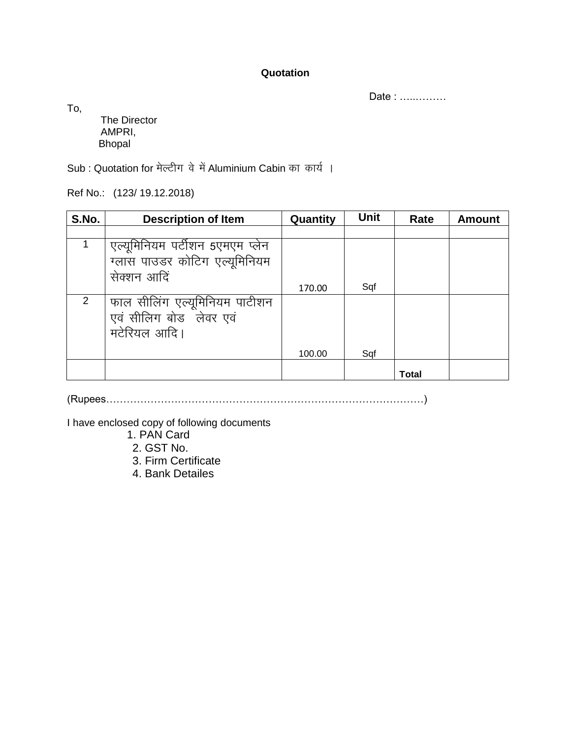## **Quotation**

Date : …..………

To,

The Director AMPRI, Bhopal

Sub : Quotation for मेल्टीग वे में Aluminium Cabin का कार्य।

Ref No.: (123/ 19.12.2018)

| S.No. | <b>Description of Item</b>      | Quantity | <b>Unit</b> | Rate  | <b>Amount</b> |
|-------|---------------------------------|----------|-------------|-------|---------------|
|       |                                 |          |             |       |               |
|       | एल्यूमिनियम पर्टीशन 5एमएम प्लेन |          |             |       |               |
|       | ग्लास पाउडर कोटिग एल्यूमिनियम   |          |             |       |               |
|       | सेक्शन आदि                      |          |             |       |               |
|       |                                 | 170.00   | Sqf         |       |               |
| 2     | फाल सीलिंग एल्यूमिनियम पाटीशन   |          |             |       |               |
|       | एवं सीलिग बोड लेवर एवं          |          |             |       |               |
|       | मटेरियल आदि।                    |          |             |       |               |
|       |                                 | 100.00   | Sqf         |       |               |
|       |                                 |          |             | Total |               |

(Rupees…………………………………………………………………………………)

I have enclosed copy of following documents

- 1. PAN Card
- 2. GST No.
- 3. Firm Certificate
- 4. Bank Detailes